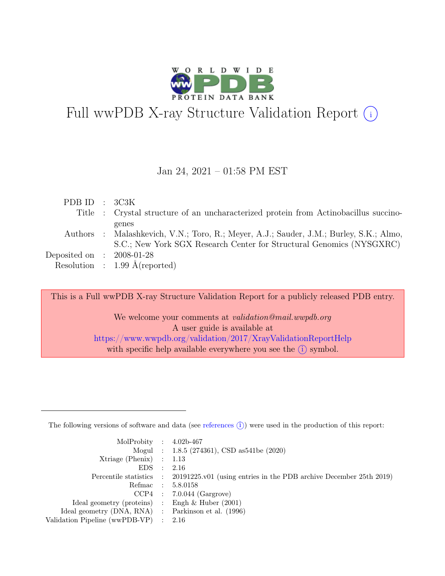

# Full wwPDB X-ray Structure Validation Report  $\bigcirc$

#### Jan 24, 2021 – 01:58 PM EST

| PDBID : 3C3K                |                                                                                                                                                                         |
|-----------------------------|-------------------------------------------------------------------------------------------------------------------------------------------------------------------------|
|                             | Title : Crystal structure of an uncharacterized protein from Actinobacillus succino-                                                                                    |
|                             | genes<br>Authors : Malashkevich, V.N.; Toro, R.; Meyer, A.J.; Sauder, J.M.; Burley, S.K.; Almo,<br>S.C.; New York SGX Research Center for Structural Genomics (NYSGXRC) |
| Deposited on : $2008-01-28$ |                                                                                                                                                                         |
|                             | Resolution : $1.99 \text{ Å}$ (reported)                                                                                                                                |

This is a Full wwPDB X-ray Structure Validation Report for a publicly released PDB entry.

We welcome your comments at validation@mail.wwpdb.org A user guide is available at <https://www.wwpdb.org/validation/2017/XrayValidationReportHelp> with specific help available everywhere you see the  $(i)$  symbol.

The following versions of software and data (see [references](https://www.wwpdb.org/validation/2017/XrayValidationReportHelp#references)  $(i)$ ) were used in the production of this report:

| MolProbity : $4.02b-467$                            |                                                                                            |
|-----------------------------------------------------|--------------------------------------------------------------------------------------------|
|                                                     | Mogul : 1.8.5 (274361), CSD as 541be (2020)                                                |
| $Xtriangle (Phenix)$ : 1.13                         |                                                                                            |
| $EDS$ :                                             | - 2.16                                                                                     |
|                                                     | Percentile statistics : 20191225.v01 (using entries in the PDB archive December 25th 2019) |
|                                                     | Refmac : 5.8.0158                                                                          |
|                                                     | $CCP4$ : 7.0.044 (Gargrove)                                                                |
| Ideal geometry (proteins) : Engh $\&$ Huber (2001)  |                                                                                            |
| Ideal geometry (DNA, RNA) : Parkinson et al. (1996) |                                                                                            |
| Validation Pipeline (wwPDB-VP) : 2.16               |                                                                                            |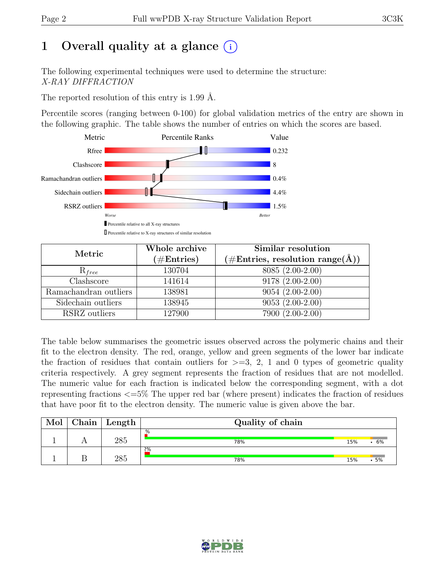# 1 Overall quality at a glance  $(i)$

The following experimental techniques were used to determine the structure: X-RAY DIFFRACTION

The reported resolution of this entry is 1.99 Å.

Percentile scores (ranging between 0-100) for global validation metrics of the entry are shown in the following graphic. The table shows the number of entries on which the scores are based.



| Metric                | Whole archive        | Similar resolution                                           |  |  |
|-----------------------|----------------------|--------------------------------------------------------------|--|--|
|                       | $(\#\text{Entries})$ | $(\# \text{Entries}, \text{ resolution } \text{range}(\AA))$ |  |  |
| $R_{free}$            | 130704               | 8085 (2.00-2.00)                                             |  |  |
| Clashscore            | 141614               | $9178(2.00-2.00)$                                            |  |  |
| Ramachandran outliers | 138981               | $9054(2.00-2.00)$                                            |  |  |
| Sidechain outliers    | 138945               | $9053(2.00-2.00)$                                            |  |  |
| RSRZ outliers         | 127900               | 7900 (2.00-2.00)                                             |  |  |

The table below summarises the geometric issues observed across the polymeric chains and their fit to the electron density. The red, orange, yellow and green segments of the lower bar indicate the fraction of residues that contain outliers for  $\geq$ =3, 2, 1 and 0 types of geometric quality criteria respectively. A grey segment represents the fraction of residues that are not modelled. The numeric value for each fraction is indicated below the corresponding segment, with a dot representing fractions <=5% The upper red bar (where present) indicates the fraction of residues that have poor fit to the electron density. The numeric value is given above the bar.

| ${\rm Chain}$ | Length | Quality of chain |     |    |
|---------------|--------|------------------|-----|----|
|               | 285    | .%<br>78%        | 15% | 6% |
|               | วคร    | 2%<br>78%        | 15% | 5% |

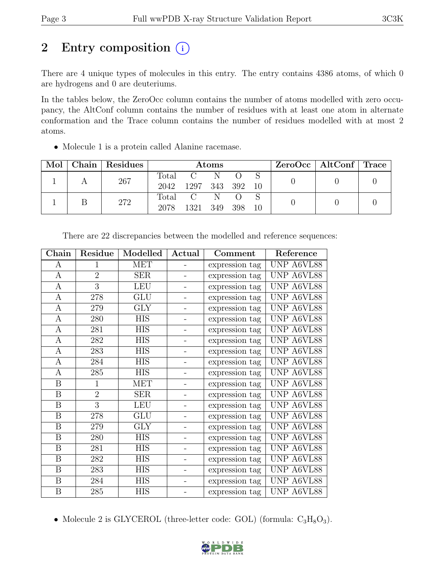## 2 Entry composition  $(i)$

There are 4 unique types of molecules in this entry. The entry contains 4386 atoms, of which 0 are hydrogens and 0 are deuteriums.

In the tables below, the ZeroOcc column contains the number of atoms modelled with zero occupancy, the AltConf column contains the number of residues with at least one atom in alternate conformation and the Trace column contains the number of residues modelled with at most 2 atoms.

• Molecule 1 is a protein called Alanine racemase.

| Mol | Chain   Residues | <b>Atoms</b>             |                        |           |     |    | $ZeroOcc \mid AltConf \mid Trace$ |  |
|-----|------------------|--------------------------|------------------------|-----------|-----|----|-----------------------------------|--|
|     | 267              | Total<br>2042            | 1297 343 392           | N         |     | 10 |                                   |  |
|     | 272              | $\mathrm{Total}$<br>2078 | $\overline{C}$<br>1321 | N<br>-349 | 398 | 10 |                                   |  |

| Chain            | Residue        | Modelled   | Actual | Comment        | Reference  |
|------------------|----------------|------------|--------|----------------|------------|
| А                | 1              | <b>MET</b> |        | expression tag | UNP A6VL88 |
| $\bf{A}$         | $\overline{2}$ | <b>SER</b> |        | expression tag | UNP A6VL88 |
| $\mathbf{A}$     | $\overline{3}$ | LEU        |        | expression tag | UNP A6VL88 |
| A                | 278            | <b>GLU</b> |        | expression tag | UNP A6VL88 |
| A                | 279            | GLY        |        | expression tag | UNP A6VL88 |
| A                | 280            | <b>HIS</b> |        | expression tag | UNP A6VL88 |
| A                | 281            | <b>HIS</b> |        | expression tag | UNP A6VL88 |
| $\mathbf{A}$     | 282            | <b>HIS</b> |        | expression tag | UNP A6VL88 |
| $\mathbf{A}$     | 283            | <b>HIS</b> |        | expression tag | UNP A6VL88 |
| $\boldsymbol{A}$ | 284            | <b>HIS</b> |        | expression tag | UNP A6VL88 |
| A                | 285            | <b>HIS</b> |        | expression tag | UNP A6VL88 |
| $\boldsymbol{B}$ | $\mathbf{1}$   | <b>MET</b> |        | expression tag | UNP A6VL88 |
| $\boldsymbol{B}$ | $\overline{2}$ | <b>SER</b> |        | expression tag | UNP A6VL88 |
| B                | 3              | <b>LEU</b> |        | expression tag | UNP A6VL88 |
| $\boldsymbol{B}$ | 278            | <b>GLU</b> |        | expression tag | UNP A6VL88 |
| $\boldsymbol{B}$ | 279            | <b>GLY</b> |        | expression tag | UNP A6VL88 |
| $\boldsymbol{B}$ | 280            | HIS        | -      | expression tag | UNP A6VL88 |
| B                | 281            | <b>HIS</b> |        | expression tag | UNP A6VL88 |
| $\boldsymbol{B}$ | 282            | <b>HIS</b> |        | expression tag | UNP A6VL88 |
| $\boldsymbol{B}$ | 283            | <b>HIS</b> |        | expression tag | UNP A6VL88 |
| $\boldsymbol{B}$ | 284            | <b>HIS</b> |        | expression tag | UNP A6VL88 |
| B                | 285            | HIS        |        | expression tag | UNP A6VL88 |

There are 22 discrepancies between the modelled and reference sequences:

• Molecule 2 is GLYCEROL (three-letter code: GOL) (formula:  $C_3H_8O_3$ ).

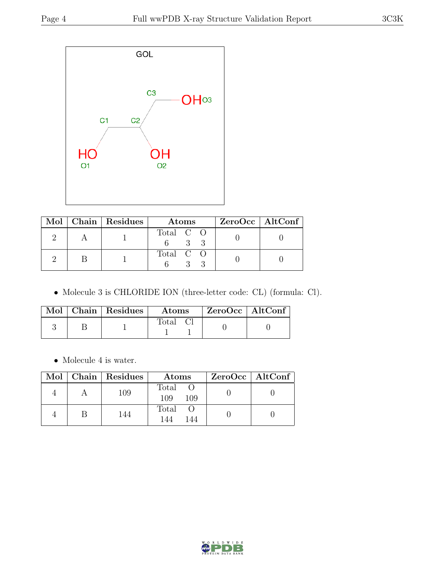

|  | Mol   Chain   Residues | <b>Atoms</b> | $ZeroOcc \   \$ AltConf |
|--|------------------------|--------------|-------------------------|
|  |                        | Total C O    |                         |
|  |                        | Total C O    |                         |

• Molecule 3 is CHLORIDE ION (three-letter code: CL) (formula: Cl).

|  | Mol   Chain   Residues | Atoms        | $ZeroOcc$   AltConf |
|--|------------------------|--------------|---------------------|
|  |                        | <b>Total</b> |                     |

 $\bullet\,$  Molecule 4 is water.

|  | Mol   Chain   Residues | Atoms               | $ZeroOcc \   \$ AltConf |
|--|------------------------|---------------------|-------------------------|
|  | 109                    | Total<br>109<br>109 |                         |
|  | 144                    | Total<br>144        |                         |

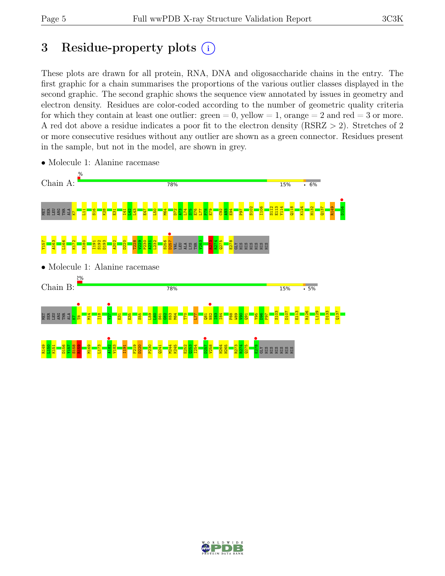# 3 Residue-property plots  $(i)$

These plots are drawn for all protein, RNA, DNA and oligosaccharide chains in the entry. The first graphic for a chain summarises the proportions of the various outlier classes displayed in the second graphic. The second graphic shows the sequence view annotated by issues in geometry and electron density. Residues are color-coded according to the number of geometric quality criteria for which they contain at least one outlier:  $green = 0$ , yellow  $= 1$ , orange  $= 2$  and red  $= 3$  or more. A red dot above a residue indicates a poor fit to the electron density (RSRZ > 2). Stretches of 2 or more consecutive residues without any outlier are shown as a green connector. Residues present in the sample, but not in the model, are shown in grey.



• Molecule 1: Alanine racemase

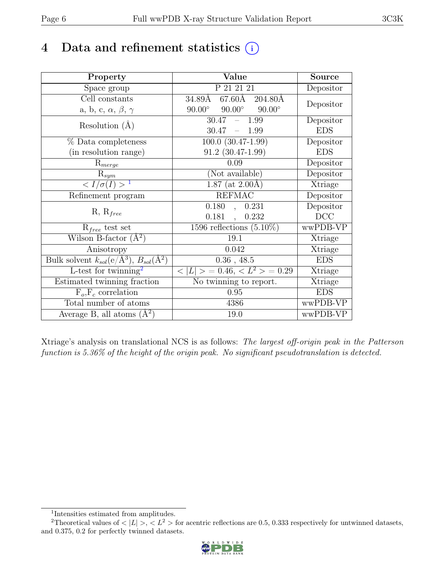## 4 Data and refinement statistics  $(i)$

| Property                                                             | Value                                             | <b>Source</b>                |
|----------------------------------------------------------------------|---------------------------------------------------|------------------------------|
| Space group                                                          | P 21 21 21                                        | Depositor                    |
| Cell constants                                                       | 67.60Å 204.80Å<br>$34.89$ Å                       | Depositor                    |
| a, b, c, $\alpha$ , $\beta$ , $\gamma$                               | $90.00^\circ$<br>$90.00^\circ$<br>$90.00^{\circ}$ |                              |
| Resolution $(A)$                                                     | 30.47<br>$-1.99$                                  | Depositor                    |
|                                                                      | 30.47<br>$-1.99$                                  | <b>EDS</b>                   |
| % Data completeness                                                  | $100.0 (30.47 - 1.99)$                            | Depositor                    |
| (in resolution range)                                                | $91.2$ $(30.47-1.99)$                             | <b>EDS</b>                   |
| $R_{merge}$                                                          | 0.09                                              | Depositor                    |
| $R_{sym}$                                                            | (Not available)                                   | Depositor                    |
| $\langle I/\sigma(I) \rangle^{-1}$                                   | $1.87$ (at 2.00Å)                                 | Xtriage                      |
| Refinement program                                                   | <b>REFMAC</b>                                     | Depositor                    |
| $R, R_{free}$                                                        | 0.180,<br>0.231                                   | Depositor                    |
|                                                                      | $0.181$ ,<br>0.232                                | DCC                          |
| $R_{free}$ test set                                                  | 1596 reflections $(5.10\%)$                       | wwPDB-VP                     |
| Wilson B-factor $(A^2)$                                              | 19.1                                              | Xtriage                      |
| Anisotropy                                                           | 0.042                                             | Xtriage                      |
| Bulk solvent $k_{sol}(e/\mathring{A}^3)$ , $B_{sol}(\mathring{A}^2)$ | $0.36$ , 48.5                                     | <b>EDS</b>                   |
| L-test for twinning <sup>2</sup>                                     | $< L >$ = 0.46, $< L2 >$ = 0.29                   | $\overline{\text{X}}$ triage |
| Estimated twinning fraction                                          | No twinning to report.                            | Xtriage                      |
| $\overline{F_o}, \overline{F_c}$ correlation                         | 0.95                                              | <b>EDS</b>                   |
| Total number of atoms                                                | 4386                                              | wwPDB-VP                     |
| Average B, all atoms $(A^2)$                                         | 19.0                                              | wwPDB-VP                     |

Xtriage's analysis on translational NCS is as follows: The largest off-origin peak in the Patterson function is 5.36% of the height of the origin peak. No significant pseudotranslation is detected.

<sup>&</sup>lt;sup>2</sup>Theoretical values of  $\langle |L| \rangle$ ,  $\langle L^2 \rangle$  for acentric reflections are 0.5, 0.333 respectively for untwinned datasets, and 0.375, 0.2 for perfectly twinned datasets.



<span id="page-5-1"></span><span id="page-5-0"></span><sup>1</sup> Intensities estimated from amplitudes.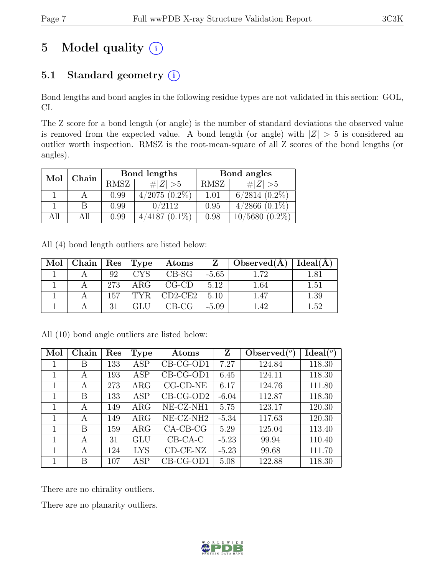# 5 Model quality  $(i)$

### 5.1 Standard geometry (i)

Bond lengths and bond angles in the following residue types are not validated in this section: GOL, CL

The Z score for a bond length (or angle) is the number of standard deviations the observed value is removed from the expected value. A bond length (or angle) with  $|Z| > 5$  is considered an outlier worth inspection. RMSZ is the root-mean-square of all Z scores of the bond lengths (or angles).

| Mol |       |      | Bond lengths       | Bond angles |                    |  |
|-----|-------|------|--------------------|-------------|--------------------|--|
|     | Chain | RMSZ | $\# Z  > 5$        | RMSZ        | $\# Z  > 5$        |  |
|     |       | 0.99 | $4/2075$ $(0.2\%)$ | 1.01        | $6/2814$ $(0.2\%)$ |  |
|     |       | 0.99 | 0/2112             | 0.95        | $4/2866$ $(0.1\%)$ |  |
| All | All   | 0.99 | $4/4187(0.1\%)$    | 0.98        | $10/5680(0.2\%)$   |  |

All (4) bond length outliers are listed below:

| Mol | Chain |     | $\vert$ Res $\vert$ Type | Atoms       | Z       | Observed(A) | Ideal(A) |
|-----|-------|-----|--------------------------|-------------|---------|-------------|----------|
|     |       | 92  | <b>CYS</b>               | $CB-SG$     | $-5.65$ | 1.72        | 1.81     |
|     |       | 273 | $\rm{ARG}$               | $CG$ - $CD$ | 5.12    | 1.64        | 1.51     |
|     |       | 157 | TYR.                     | $CD2-CE2$   | 5.10    | 1.47        | 1.39     |
|     |       | 31  |                          | $CB-CG$     | $-5.09$ | 1.42        | $1.52\,$ |

All (10) bond angle outliers are listed below:

| Mol | Chain | Res | <b>Type</b> | Atoms                 |         | $\text{Observed} (°)$ | $Ideal(^{\circ})$ |
|-----|-------|-----|-------------|-----------------------|---------|-----------------------|-------------------|
|     | В     | 133 | ASP         | $CB-CG-OD1$           | 7.27    | 124.84                | 118.30            |
| 1   | А     | 193 | ASP         | $CB-CG-OD1$           | 6.45    | 124.11                | 118.30            |
| 1   | A     | 273 | $\rm{ARG}$  | $CG$ - $CD$ - $NE$    | 6.17    | 124.76                | 111.80            |
| 1   | B     | 133 | <b>ASP</b>  | $CB-CG-OD2$           | $-6.04$ | 112.87                | 118.30            |
| 1   | A     | 149 | $\rm{ARG}$  | NE-CZ-NH1             | 5.75    | 123.17                | 120.30            |
| 1   | A     | 149 | $\rm{ARG}$  | NE-CZ-NH <sub>2</sub> | $-5.34$ | 117.63                | 120.30            |
| 1   | B     | 159 | $\rm{ARG}$  | $CA-CB-CG$            | 5.29    | 125.04                | 113.40            |
|     | А     | 31  | GLU         | $CB-CA-C$             | $-5.23$ | 99.94                 | 110.40            |
|     | A     | 124 | <b>LYS</b>  | $CD-CE-NZ$            | $-5.23$ | 99.68                 | 111.70            |
|     | В     | 107 | ASP         | $CB-CG-OD1$           | 5.08    | 122.88                | 118.30            |

There are no chirality outliers.

There are no planarity outliers.

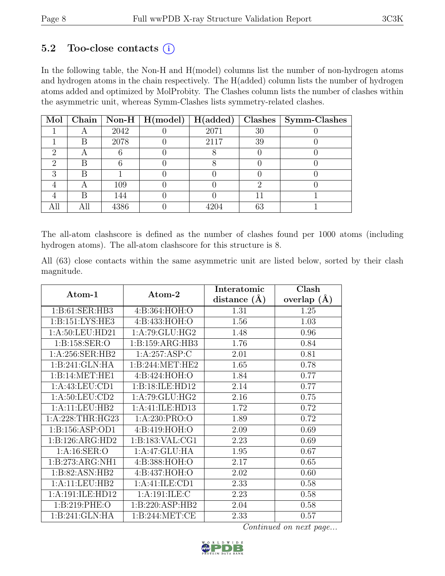### 5.2 Too-close contacts  $(i)$

In the following table, the Non-H and H(model) columns list the number of non-hydrogen atoms and hydrogen atoms in the chain respectively. The H(added) column lists the number of hydrogen atoms added and optimized by MolProbity. The Clashes column lists the number of clashes within the asymmetric unit, whereas Symm-Clashes lists symmetry-related clashes.

| Mol |   |      | Chain   Non-H   H(model) | H(added) |    | $Clashes$   Symm-Clashes |
|-----|---|------|--------------------------|----------|----|--------------------------|
|     |   | 2042 |                          | 2071     | 30 |                          |
|     | В | 2078 |                          | 2117     | 39 |                          |
|     |   |      |                          |          |    |                          |
|     |   |      |                          |          |    |                          |
| R   | R |      |                          |          |    |                          |
|     |   | 109  |                          |          |    |                          |
|     | R | 144  |                          |          |    |                          |
|     |   | 4386 |                          |          | 63 |                          |

The all-atom clashscore is defined as the number of clashes found per 1000 atoms (including hydrogen atoms). The all-atom clashscore for this structure is 8.

All (63) close contacts within the same asymmetric unit are listed below, sorted by their clash magnitude.

|                    |                     | Interatomic      | Clash         |  |
|--------------------|---------------------|------------------|---------------|--|
| Atom-1             | Atom-2              | distance $(\AA)$ | overlap $(A)$ |  |
| 1:B:61:SER:HB3     | 4:B:364:HOH:O       | 1.31             | 1.25          |  |
| 1:B:151:LYS:HE3    | 4:B:433:HOH:O       | 1.56             | 1.03          |  |
| 1: A:50: LEU:HD21  | 1: A:79: GLU: HG2   | 1.48             | 0.96          |  |
| 1: B: 158: SER: O  | 1: B: 159: ARG: HB3 | 1.76             | 0.84          |  |
| 1: A:256: SER: HB2 | 1:A:257:ASP:C       | 2.01             | 0.81          |  |
| 1:B:241:GLN:HA     | 1: B:244: MET:HE2   | 1.65             | 0.78          |  |
| 1:B:14:MET:HE1     | 4:B:424:HOH:O       | 1.84             | 0.77          |  |
| 1:A:43:LEU:CD1     | 1:B:18:ILE:HD12     | 2.14             | 0.77          |  |
| 1: A:50:LEU:CD2    | 1:A:79:GLU:HG2      | 2.16             | 0.75          |  |
| 1:A:11:LEU:HB2     | 1:A:41:ILE:HD13     | 1.72             | 0.72          |  |
| 1: A:228:THR:HG23  | 1:A:230:PRO:O       | 1.89             | 0.72          |  |
| 1:B:156:ASP:OD1    | 4:B:419:HOH:O       | 2.09             | 0.69          |  |
| 1:B:126:ARG:HD2    | 1: B: 183: VAL: CG1 | 2.23             | 0.69          |  |
| 1:A:16:SER:O       | 1:A:47:GLU:HA       | 1.95             | 0.67          |  |
| 1:B:273:ARG:NH1    | 4:B:388:HOH:O       | 2.17             | 0.65          |  |
| 1:B:82:ASN:HB2     | 4:B:437:HOH:O       | 2.02             | 0.60          |  |
| 1:A:11:LEU:HB2     | 1: A: 41: ILE: CD1  | 2.33             | 0.58          |  |
| 1:A:191:ILE:HD12   | 1:A:191:ILE:C       | 2.23             | 0.58          |  |
| 1:B:219:PHE:O      | 1: B:220: ASP:HB2   | 2.04             | 0.58          |  |
| 1:B:241:GLN:HA     | 1: B:244:MET:CE     | 2.33             | 0.57          |  |

Continued on next page...

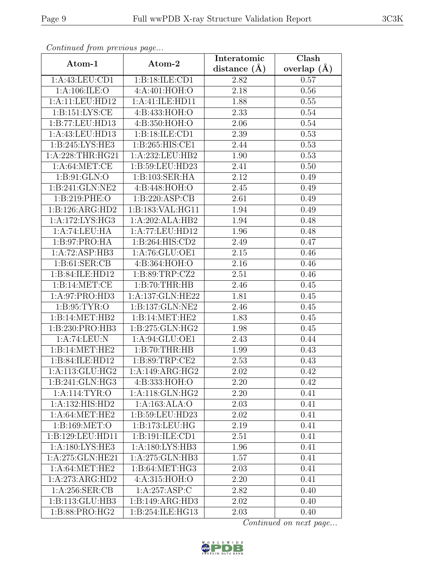| Continued from previous page |                               | Interatomic       | Clash         |  |
|------------------------------|-------------------------------|-------------------|---------------|--|
| Atom-1                       | Atom-2                        | distance $(\AA)$  | overlap $(A)$ |  |
| 1:A:43:LEU:CD1               | 1:B:18:ILE:CD1                | 2.82              | 0.57          |  |
| 1:A:106:ILE:O                | 4:A:401:HOH:O                 | $\overline{2.18}$ | 0.56          |  |
| 1:A:11:LEU:HD12              | 1:A:41:ILE:HD11               | 1.88              | 0.55          |  |
| 1: B: 151: LYS: CE           | 4:B:433:HOH:O                 | 2.33              | 0.54          |  |
| 1:B:77:LEU:HD13              | 4:B:350:HOH:O                 | 2.06              | 0.54          |  |
| 1:A:43:LEU:HD13              | 1:B:18:ILE:CD1                | 2.39              | 0.53          |  |
| 1:B:245:LYS:HE3              | 1:B:265:HIS:CE1               | 2.44              | 0.53          |  |
| 1: A:228:THR:HG21            | 1:A:232:LEU:HB2               | 1.90              | 0.53          |  |
| 1: A:64: MET:CE              | 1:B:59:LEU:HD23               | 2.41              | 0.50          |  |
| 1: B:91: GLN:O               | 1: B: 103: SER: HA            | 2.12              | 0.49          |  |
| 1:B:241:GLN:NE2              | 4:B:448:HOH:O                 | 2.45              | 0.49          |  |
| 1: B:219: PHE:O              | 1: B:220: ASP:CB              | 2.61              | 0.49          |  |
| 1:B:126:ARG:HD2              | 1:B:183:VAL:HG11              | 1.94              | 0.49          |  |
| 1:A:172:LYS:HG3              | 1:A:202:ALA:HB2               | 1.94              | 0.48          |  |
| 1:A:74:LEU:HA                | 1:A:77:LEU:HD12               | 1.96              | 0.48          |  |
| 1:B:97:PRO:HA                | 1:B:264:HIS:CD2               | 2.49              | 0.47          |  |
| 1:A:72:ASP:HB3               | 1:A:76:GLU:OE1                | 2.15              | 0.46          |  |
| 1: B:61: SER:CB              | 4: B: 364: HOH: O             | 2.16              | 0.46          |  |
| 1:B:84:ILE:HD12              | 1:B:89:TRP:CZ2                | 2.51              | 0.46          |  |
| 1:B:14:MET:CE                | 1:B:70:THR:HB                 | 2.46              | 0.45          |  |
| 1:A:97:PRO:HD3               | $1:A:\overline{137:GLN:HE22}$ | 1.81              | 0.45          |  |
| 1: B:95: TYR:O               | 1:B:137:GLN:NE2               | 2.46              | 0.45          |  |
| 1:B:14:MET:HB2               | 1:B:14:MET:HE2                | 1.83              | 0.45          |  |
| 1:B:230:PRO:HB3              | 1:B:275:GLN:HG2               | 1.98              | 0.45          |  |
| 1:A:74:LEU:N                 | 1:A:94:GLU:OE1                | 2.43              | 0.44          |  |
| 1:B:14:MET:HE2               | 1:B:70:THR:HB                 | 1.99              | 0.43          |  |
| 1:B:84:ILE:HD12              | 1:B:89:TRP:CE2                | 2.53              | 0.43          |  |
| 1:A:113:GLU:HG2              | 1:A:149:ARG:HG2               | 2.02              | 0.42          |  |
| 1:B:241:GLN:HG3              | 4:B:333:HOH:O                 | 2.20              | 0.42          |  |
| 1:A:114:TYR:O                | 1: A:118: GLN: HG2            | 2.20              | 0.41          |  |
| 1:A:132:HIS:HD2              | 1:A:163:ALA:O                 | 2.03              | 0.41          |  |
| 1: A:64:MET:HE2              | 1:B:59:LEU:HD23               | 2.02              | 0.41          |  |
| 1: B: 169: MET:O             | 1:B:173:LEU:HG                | 2.19              | 0.41          |  |
| 1:B:129:LEU:HD11             | 1:B:191:ILE:CD1               | 2.51              | 0.41          |  |
| 1: A: 180: LYS: HE3          | 1:A:180:LYS:HB3               | 1.96              | 0.41          |  |
| 1:A:275:GLN:HE21             | 1:A:275:GLN:HB3               | 1.57              | 0.41          |  |
| 1: A:64: MET:HE2             | $1: B:64:MET:H\overline{G3}$  | 2.03              | 0.41          |  |
| 1:A:273:ARG:HD2              | 4:A:315:HOH:O                 | 2.20              | 0.41          |  |
| 1:A:256:SER:CB               | 1:A:257:ASP:C                 | 2.82              | 0.40          |  |
| 1:B:113:GLU:HB3              | 1:B:149:ARG:HD3               | 2.02              | 0.40          |  |
| 1:B:88:PRO:HG2               | 1:B:254:ILE:HG13              | 2.03              | 0.40          |  |

Continued from previous page.

Continued on next page...

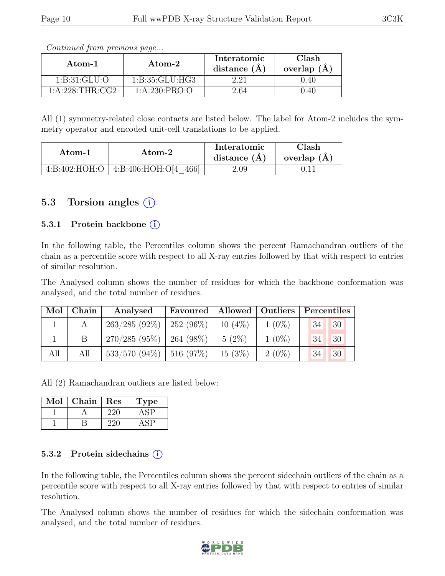| Atom-1          | Atom-2           | Interatomic<br>distance $(A)$ | Clash<br>overlap $(A)$ |  |
|-----------------|------------------|-------------------------------|------------------------|--|
| 1: B:31: GLU:O  | 1: B:35: GLU:HG3 |                               | 0.40                   |  |
| 1:A:228:THR:CG2 | 1: A:230: PRO:O  | 2.64                          | 1.40                   |  |

Continued from previous page...

All (1) symmetry-related close contacts are listed below. The label for Atom-2 includes the symmetry operator and encoded unit-cell translations to be applied.

| Atom-2 |                                      | Interatomic    | Clash         |  |
|--------|--------------------------------------|----------------|---------------|--|
| Atom-1 |                                      | distance $(A)$ | overlap $(A)$ |  |
|        | 4:B:402:HOH:O   4:B:406:HOH:O[4 466] | $2.09\,$       |               |  |

#### 5.3 Torsion angles (i)

#### 5.3.1 Protein backbone  $(i)$

In the following table, the Percentiles column shows the percent Ramachandran outliers of the chain as a percentile score with respect to all X-ray entries followed by that with respect to entries of similar resolution.

The Analysed column shows the number of residues for which the backbone conformation was analysed, and the total number of residues.

| Mol | Chain | Favoured   Allowed   Outliers   Percentiles<br>Analysed |  |           |          |           |  |
|-----|-------|---------------------------------------------------------|--|-----------|----------|-----------|--|
|     |       | $263/285$ (92\%)   252 (96\%)                           |  | $10(4\%)$ | $1(0\%)$ | 34'<br>30 |  |
|     |       | $270/285$ (95\%)   264 (98\%)                           |  | $5(2\%)$  | $1(0\%)$ | 34<br>30  |  |
| All | All   | $533/570$ (94\%)   516 (97\%)                           |  | $15(3\%)$ | $2(0\%)$ | 30<br>34  |  |

All (2) Ramachandran outliers are listed below:

| Mol | ${\rm Chain}$ | Res | 'pe |
|-----|---------------|-----|-----|
|     |               |     |     |
|     |               |     |     |

#### 5.3.2 Protein sidechains (i)

In the following table, the Percentiles column shows the percent sidechain outliers of the chain as a percentile score with respect to all X-ray entries followed by that with respect to entries of similar resolution.

The Analysed column shows the number of residues for which the sidechain conformation was analysed, and the total number of residues.

![](_page_9_Picture_17.jpeg)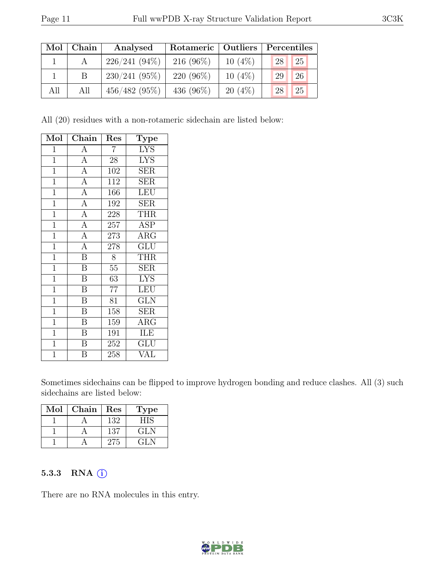| Mol | Chain | Analysed        | Rotameric   Outliers |           | Percentiles |  |  |
|-----|-------|-----------------|----------------------|-----------|-------------|--|--|
|     |       | $226/241(94\%)$ | $216(96\%)$          | $10(4\%)$ | 25<br>28    |  |  |
|     |       | $230/241(95\%)$ | $220(96\%)$          | $10(4\%)$ | 26<br>29    |  |  |
| All | All   | 456/482(95%)    | 436 $(96\%)$         | $20(4\%)$ | 25<br>28    |  |  |

All (20) residues with a non-rotameric sidechain are listed below:

| Mol            | Chain                   | Res            | <b>Type</b>                     |
|----------------|-------------------------|----------------|---------------------------------|
| $\mathbf{1}$   | $\overline{A}$          | $\overline{7}$ | <b>LYS</b>                      |
| $\mathbf{1}$   | $\overline{A}$          | 28             | <b>LYS</b>                      |
| $\overline{1}$ | $\overline{A}$          | 102            | SER                             |
| $\overline{1}$ | $\overline{A}$          | 112            | <b>SER</b>                      |
| $\overline{1}$ | $\overline{A}$          | 166            | LEU                             |
| $\overline{1}$ | $\overline{A}$          | 192            | $\overline{\text{SER}}$         |
| $\mathbf{1}$   | $\overline{A}$          | 228            | <b>THR</b>                      |
| $\overline{1}$ | $\overline{A}$          | 257            | <b>ASP</b>                      |
| $\overline{1}$ | $\overline{A}$          | 273            | $\rm{ARG}$                      |
| $\overline{1}$ | $\overline{A}$          | 278            | GLU                             |
| $\overline{1}$ | $\overline{\mathbf{B}}$ | 8              | THR                             |
| $\mathbf{1}$   | $\boldsymbol{B}$        | $55\,$         | SER                             |
| $\overline{1}$ | $\overline{\mathbf{B}}$ | 63             | $\overline{\text{L} \text{YS}}$ |
| $\mathbf{1}$   | $\overline{B}$          | 77             | LEU                             |
| $\overline{1}$ | $\overline{\mathbf{B}}$ | 81             | <b>GLN</b>                      |
| $\overline{1}$ | $\overline{B}$          | 158            | <b>SER</b>                      |
| $\mathbf{1}$   | B                       | 159            | $\rm{ARG}$                      |
| $\overline{1}$ | $\overline{\mathbf{B}}$ | 191            | ILE                             |
| $\mathbf{1}$   | $\overline{\mathrm{B}}$ | 252            | <b>GLU</b>                      |
| $\overline{1}$ | $\overline{\mathrm{B}}$ | 258            | $\overline{\text{VAL}}$         |

Sometimes sidechains can be flipped to improve hydrogen bonding and reduce clashes. All (3) such sidechains are listed below:

| Mol | Chain | Res | Type |
|-----|-------|-----|------|
|     |       | 132 | НIS  |
|     |       | 137 | GLN  |
|     |       | 275 | GLN  |

#### 5.3.3 RNA (i)

There are no RNA molecules in this entry.

![](_page_10_Picture_10.jpeg)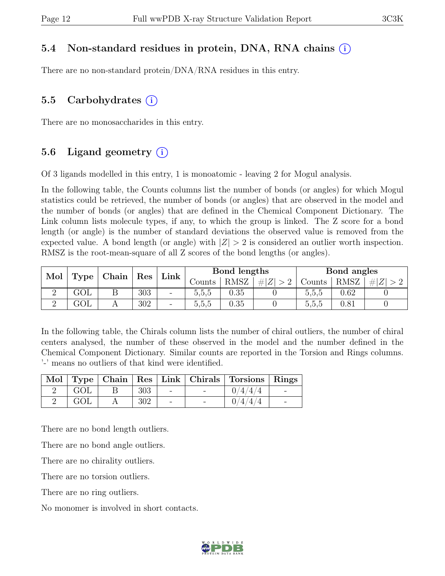#### 5.4 Non-standard residues in protein, DNA, RNA chains (i)

There are no non-standard protein/DNA/RNA residues in this entry.

### 5.5 Carbohydrates (i)

There are no monosaccharides in this entry.

#### 5.6 Ligand geometry  $(i)$

Of 3 ligands modelled in this entry, 1 is monoatomic - leaving 2 for Mogul analysis.

In the following table, the Counts columns list the number of bonds (or angles) for which Mogul statistics could be retrieved, the number of bonds (or angles) that are observed in the model and the number of bonds (or angles) that are defined in the Chemical Component Dictionary. The Link column lists molecule types, if any, to which the group is linked. The Z score for a bond length (or angle) is the number of standard deviations the observed value is removed from the expected value. A bond length (or angle) with  $|Z| > 2$  is considered an outlier worth inspection. RMSZ is the root-mean-square of all Z scores of the bond lengths (or angles).

| Mol |               |  | Res         |                          | Bond lengths |                     |        |             | Bond angles |  |
|-----|---------------|--|-------------|--------------------------|--------------|---------------------|--------|-------------|-------------|--|
|     | Chain<br>Type |  | $Link \mid$ | Counts                   | RMSZ         | $\# Z $<br>$\sim$ 0 | Counts | <b>RMSZ</b> | H Z         |  |
|     | GOL           |  | 303         | $\overline{\phantom{a}}$ | 5.5.5        | 0.35                |        | 5,5,5       | 0.62        |  |
|     | GOL           |  | 302         | $\overline{\phantom{a}}$ | 5.5.5        | 0.35                |        | 5.5.5       | $0.81\,$    |  |

In the following table, the Chirals column lists the number of chiral outliers, the number of chiral centers analysed, the number of these observed in the model and the number defined in the Chemical Component Dictionary. Similar counts are reported in the Torsion and Rings columns. '-' means no outliers of that kind were identified.

|     |     |  | Mol   Type   Chain   Res   Link   Chirals   Torsions   Rings |  |
|-----|-----|--|--------------------------------------------------------------|--|
| GOL | 303 |  | 14/4/4                                                       |  |
| GOL | 302 |  | 0/4/4/4                                                      |  |

There are no bond length outliers.

There are no bond angle outliers.

There are no chirality outliers.

There are no torsion outliers.

There are no ring outliers.

No monomer is involved in short contacts.

![](_page_11_Picture_19.jpeg)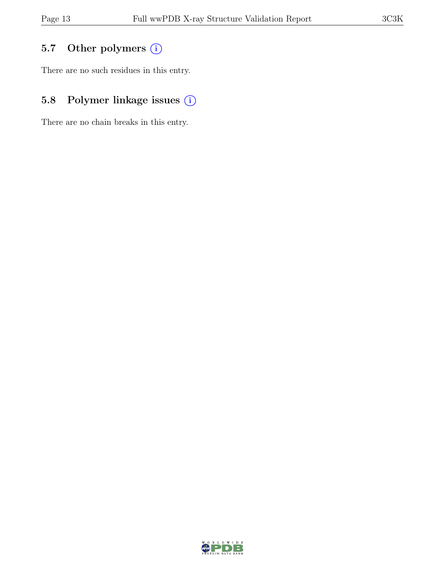### 5.7 Other polymers (i)

There are no such residues in this entry.

## 5.8 Polymer linkage issues  $(i)$

There are no chain breaks in this entry.

![](_page_12_Picture_7.jpeg)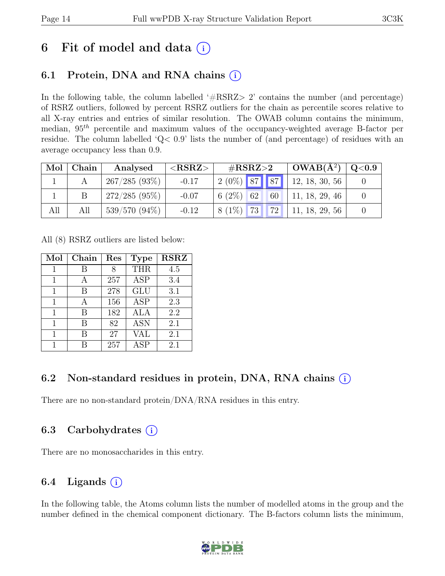## 6 Fit of model and data  $(i)$

### 6.1 Protein, DNA and RNA chains  $(i)$

In the following table, the column labelled  $#RSRZ>2$  contains the number (and percentage) of RSRZ outliers, followed by percent RSRZ outliers for the chain as percentile scores relative to all X-ray entries and entries of similar resolution. The OWAB column contains the minimum, median,  $95<sup>th</sup>$  percentile and maximum values of the occupancy-weighted average B-factor per residue. The column labelled 'Q< 0.9' lists the number of (and percentage) of residues with an average occupancy less than 0.9.

| Mol | Chain | Analysed        | ${ <\hspace{-1.5pt}{\mathrm{RSRZ}} \hspace{-1.5pt}>}$ | # $RSRZ>2$     | $\text{OWAB}(\AA^2)   Q<0.9 $ |  |
|-----|-------|-----------------|-------------------------------------------------------|----------------|-------------------------------|--|
|     |       | 267/285(93%)    | $-0.17$                                               | $2(0\%)$ 87 87 | 12, 18, 30, 56                |  |
|     |       | $272/285(95\%)$ | $-0.07$                                               | $6(2\%)$ 62 60 | 11, 18, 29, 46                |  |
| All | All   | $539/570(94\%)$ | $-0.12$                                               | $8(1\%)$ 73 72 | 11, 18, 29, 56                |  |

All (8) RSRZ outliers are listed below:

| Mol          | Chain | Res | <b>Type</b> | <b>RSRZ</b> |
|--------------|-------|-----|-------------|-------------|
| 1            |       |     | <b>THR</b>  | 4.5         |
|              |       | 257 | <b>ASP</b>  | 3.4         |
| 1            | В     | 278 | <b>GLU</b>  | 3.1         |
| $\mathbf{1}$ | А     | 156 | <b>ASP</b>  | 2.3         |
| 1            | В     | 182 | ALA         | 2.2         |
| 1            | R     | 82  | <b>ASN</b>  | 2.1         |
| 1            | В     | 27  | VAL         | 2.1         |
|              |       | 257 | <b>ASP</b>  | 2.1         |

### 6.2 Non-standard residues in protein, DNA, RNA chains (i)

There are no non-standard protein/DNA/RNA residues in this entry.

### 6.3 Carbohydrates (i)

There are no monosaccharides in this entry.

### 6.4 Ligands  $(i)$

In the following table, the Atoms column lists the number of modelled atoms in the group and the number defined in the chemical component dictionary. The B-factors column lists the minimum,

![](_page_13_Picture_15.jpeg)